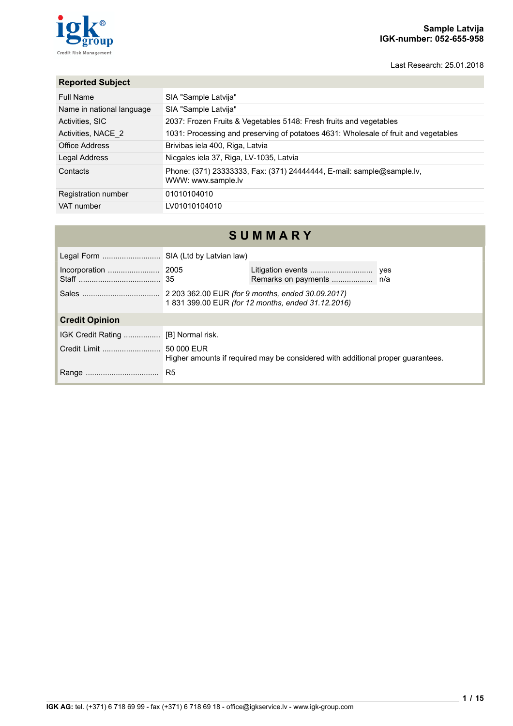## **Sample Latvija IGK-number: 052-655-958**

Last Research: 25.01.2018



## **Reported Subject**

| <b>Full Name</b>          | SIA "Sample Latvija"                                                                        |
|---------------------------|---------------------------------------------------------------------------------------------|
| Name in national language | SIA "Sample Latvija"                                                                        |
| Activities, SIC           | 2037: Frozen Fruits & Vegetables 5148: Fresh fruits and vegetables                          |
| Activities, NACE 2        | 1031: Processing and preserving of potatoes 4631: Wholesale of fruit and vegetables         |
| Office Address            | Brivibas iela 400, Riga, Latvia                                                             |
| Legal Address             | Nicgales iela 37, Riga, LV-1035, Latvia                                                     |
| Contacts                  | Phone: (371) 23333333, Fax: (371) 24444444, E-mail: sample@sample.lv,<br>WWW: www.sample.lv |
| Registration number       | 01010104010                                                                                 |
| VAT number                | LV01010104010                                                                               |

| SUMMARY                              |                                                                                 |                                                                                                       |  |  |  |  |
|--------------------------------------|---------------------------------------------------------------------------------|-------------------------------------------------------------------------------------------------------|--|--|--|--|
| Legal Form  SIA (Ltd by Latvian law) |                                                                                 |                                                                                                       |  |  |  |  |
|                                      |                                                                                 |                                                                                                       |  |  |  |  |
|                                      |                                                                                 | 2 203 362.00 EUR (for 9 months, ended 30.09.2017)<br>1831399.00 EUR (for 12 months, ended 31.12.2016) |  |  |  |  |
| <b>Credit Opinion</b>                |                                                                                 |                                                                                                       |  |  |  |  |
|                                      |                                                                                 |                                                                                                       |  |  |  |  |
|                                      | Higher amounts if required may be considered with additional proper quarantees. |                                                                                                       |  |  |  |  |
|                                      | R <sub>5</sub>                                                                  |                                                                                                       |  |  |  |  |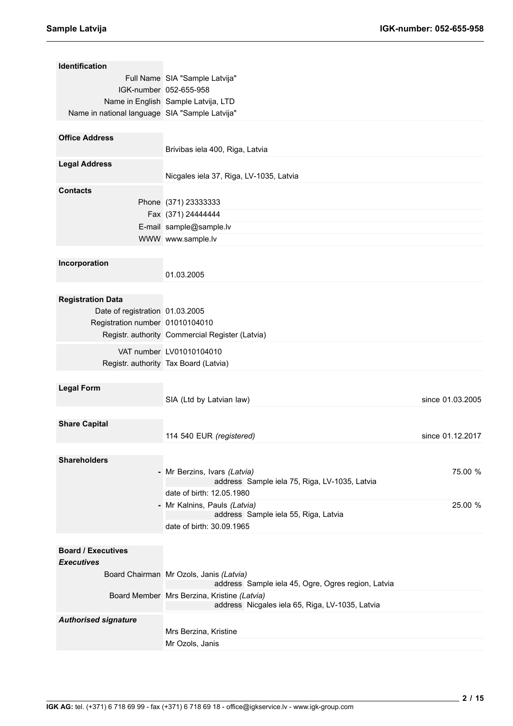| Identification                                 |                                                    |                  |
|------------------------------------------------|----------------------------------------------------|------------------|
|                                                | Full Name SIA "Sample Latvija"                     |                  |
|                                                | IGK-number 052-655-958                             |                  |
|                                                | Name in English Sample Latvija, LTD                |                  |
| Name in national language SIA "Sample Latvija" |                                                    |                  |
|                                                |                                                    |                  |
| <b>Office Address</b>                          |                                                    |                  |
|                                                | Brivibas iela 400, Riga, Latvia                    |                  |
| <b>Legal Address</b>                           |                                                    |                  |
|                                                | Nicgales iela 37, Riga, LV-1035, Latvia            |                  |
|                                                |                                                    |                  |
| <b>Contacts</b>                                |                                                    |                  |
|                                                | Phone (371) 23333333                               |                  |
|                                                | Fax (371) 24444444                                 |                  |
|                                                | E-mail sample@sample.lv                            |                  |
|                                                | WWW www.sample.lv                                  |                  |
|                                                |                                                    |                  |
| Incorporation                                  |                                                    |                  |
|                                                | 01.03.2005                                         |                  |
|                                                |                                                    |                  |
| <b>Registration Data</b>                       |                                                    |                  |
| Date of registration 01.03.2005                |                                                    |                  |
| Registration number 01010104010                |                                                    |                  |
|                                                | Registr. authority Commercial Register (Latvia)    |                  |
|                                                |                                                    |                  |
|                                                | VAT number LV01010104010                           |                  |
|                                                | Registr. authority Tax Board (Latvia)              |                  |
|                                                |                                                    |                  |
| <b>Legal Form</b>                              |                                                    |                  |
|                                                | SIA (Ltd by Latvian law)                           | since 01.03.2005 |
|                                                |                                                    |                  |
| <b>Share Capital</b>                           |                                                    |                  |
|                                                | 114 540 EUR (registered)                           | since 01.12.2017 |
|                                                |                                                    |                  |
| <b>Shareholders</b>                            |                                                    |                  |
|                                                | - Mr Berzins, Ivars (Latvia)                       | 75.00 %          |
|                                                | address Sample iela 75, Riga, LV-1035, Latvia      |                  |
|                                                | date of birth: 12.05.1980                          |                  |
|                                                | - Mr Kalnins, Pauls (Latvia)                       | 25.00 %          |
|                                                | address Sample iela 55, Riga, Latvia               |                  |
|                                                | date of birth: 30.09.1965                          |                  |
|                                                |                                                    |                  |
| <b>Board / Executives</b>                      |                                                    |                  |
| <b>Executives</b>                              |                                                    |                  |
|                                                | Board Chairman Mr Ozols, Janis (Latvia)            |                  |
|                                                | address Sample iela 45, Ogre, Ogres region, Latvia |                  |
|                                                | Board Member Mrs Berzina, Kristine (Latvia)        |                  |
|                                                | address Nicgales iela 65, Riga, LV-1035, Latvia    |                  |
| <b>Authorised signature</b>                    |                                                    |                  |
|                                                | Mrs Berzina, Kristine                              |                  |
|                                                | Mr Ozols, Janis                                    |                  |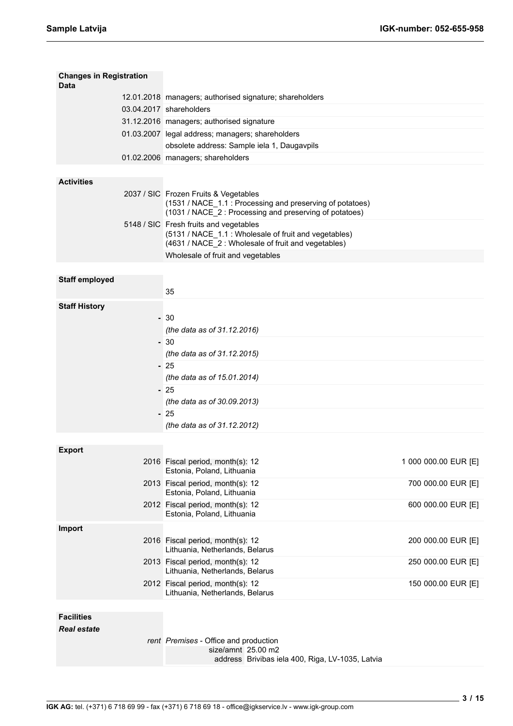| <b>Changes in Registration</b><br>Data |                                                                                                                                                              |                      |
|----------------------------------------|--------------------------------------------------------------------------------------------------------------------------------------------------------------|----------------------|
|                                        | 12.01.2018 managers; authorised signature; shareholders                                                                                                      |                      |
|                                        | 03.04.2017 shareholders                                                                                                                                      |                      |
|                                        | 31.12.2016 managers; authorised signature                                                                                                                    |                      |
|                                        | 01.03.2007 legal address; managers; shareholders                                                                                                             |                      |
|                                        | obsolete address: Sample iela 1, Daugavpils                                                                                                                  |                      |
|                                        | 01.02.2006 managers; shareholders                                                                                                                            |                      |
|                                        |                                                                                                                                                              |                      |
| <b>Activities</b>                      |                                                                                                                                                              |                      |
|                                        | 2037 / SIC Frozen Fruits & Vegetables<br>(1531 / NACE_1.1 : Processing and preserving of potatoes)<br>(1031 / NACE_2: Processing and preserving of potatoes) |                      |
|                                        | 5148 / SIC Fresh fruits and vegetables<br>(5131 / NACE_1.1 : Wholesale of fruit and vegetables)<br>(4631 / NACE_2: Wholesale of fruit and vegetables)        |                      |
|                                        | Wholesale of fruit and vegetables                                                                                                                            |                      |
|                                        |                                                                                                                                                              |                      |
| <b>Staff employed</b>                  |                                                                                                                                                              |                      |
|                                        | 35                                                                                                                                                           |                      |
| <b>Staff History</b>                   |                                                                                                                                                              |                      |
|                                        | $-30$                                                                                                                                                        |                      |
|                                        | (the data as of 31.12.2016)                                                                                                                                  |                      |
|                                        | - 30                                                                                                                                                         |                      |
|                                        | (the data as of 31.12.2015)                                                                                                                                  |                      |
|                                        | $-25$                                                                                                                                                        |                      |
|                                        | (the data as of 15.01.2014)<br>$-25$                                                                                                                         |                      |
|                                        | (the data as of 30.09.2013)                                                                                                                                  |                      |
|                                        | $-25$                                                                                                                                                        |                      |
|                                        | (the data as of 31.12.2012)                                                                                                                                  |                      |
|                                        |                                                                                                                                                              |                      |
| <b>Export</b>                          |                                                                                                                                                              |                      |
|                                        | 2016 Fiscal period, month(s): 12                                                                                                                             | 1 000 000.00 EUR [E] |
|                                        | Estonia, Poland, Lithuania                                                                                                                                   |                      |
|                                        | 2013 Fiscal period, month(s): 12<br>Estonia, Poland, Lithuania                                                                                               | 700 000.00 EUR [E]   |
|                                        | 2012 Fiscal period, month(s): 12<br>Estonia, Poland, Lithuania                                                                                               | 600 000.00 EUR [E]   |
| <b>Import</b>                          |                                                                                                                                                              |                      |
|                                        | 2016 Fiscal period, month(s): 12<br>Lithuania, Netherlands, Belarus                                                                                          | 200 000.00 EUR [E]   |
|                                        | 2013 Fiscal period, month(s): 12<br>Lithuania, Netherlands, Belarus                                                                                          | 250 000.00 EUR [E]   |
|                                        | 2012 Fiscal period, month(s): 12<br>Lithuania, Netherlands, Belarus                                                                                          | 150 000.00 EUR [E]   |
|                                        |                                                                                                                                                              |                      |
| <b>Facilities</b>                      |                                                                                                                                                              |                      |
| <b>Real estate</b>                     |                                                                                                                                                              |                      |
|                                        | rent Premises - Office and production                                                                                                                        |                      |

size/amnt 25.00 m2

address Brivibas iela 400, Riga, LV-1035, Latvia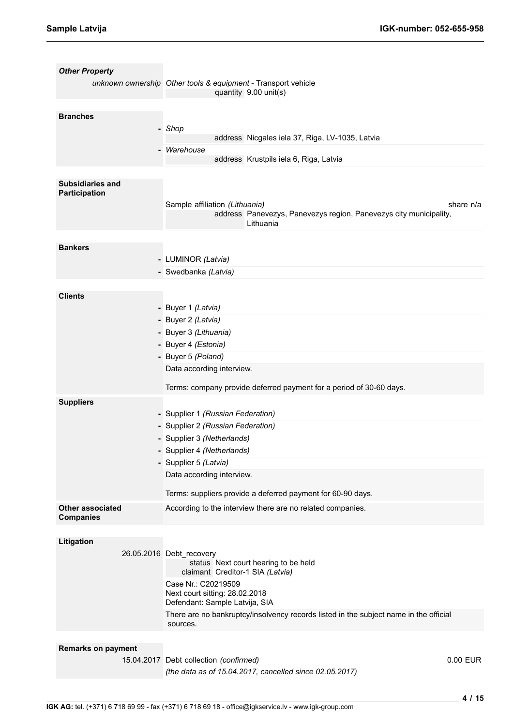| <b>Other Property</b>     | unknown ownership Other tools & equipment - Transport vehicle<br>quantity 9.00 unit(s)                           |
|---------------------------|------------------------------------------------------------------------------------------------------------------|
|                           |                                                                                                                  |
| <b>Branches</b>           |                                                                                                                  |
|                           | - Shop                                                                                                           |
|                           | address Nicgales iela 37, Riga, LV-1035, Latvia                                                                  |
|                           | - Warehouse                                                                                                      |
|                           | address Krustpils iela 6, Riga, Latvia                                                                           |
|                           |                                                                                                                  |
| <b>Subsidiaries and</b>   |                                                                                                                  |
| Participation             |                                                                                                                  |
|                           | Sample affiliation (Lithuania)<br>share n/a<br>address Panevezys, Panevezys region, Panevezys city municipality, |
|                           | Lithuania                                                                                                        |
|                           |                                                                                                                  |
| <b>Bankers</b>            |                                                                                                                  |
|                           | - LUMINOR (Latvia)                                                                                               |
|                           | - Swedbanka (Latvia)                                                                                             |
|                           |                                                                                                                  |
| <b>Clients</b>            |                                                                                                                  |
|                           |                                                                                                                  |
|                           | - Buyer 1 (Latvia)                                                                                               |
|                           | - Buyer 2 (Latvia)                                                                                               |
|                           | - Buyer 3 (Lithuania)                                                                                            |
|                           | - Buyer 4 (Estonia)                                                                                              |
|                           | - Buyer 5 (Poland)                                                                                               |
|                           | Data according interview.                                                                                        |
|                           | Terms: company provide deferred payment for a period of 30-60 days.                                              |
|                           |                                                                                                                  |
| <b>Suppliers</b>          |                                                                                                                  |
|                           | - Supplier 1 (Russian Federation)                                                                                |
|                           | - Supplier 2 (Russian Federation)                                                                                |
|                           | - Supplier 3 (Netherlands)                                                                                       |
|                           | - Supplier 4 (Netherlands)                                                                                       |
|                           | - Supplier 5 (Latvia)                                                                                            |
|                           | Data according interview.                                                                                        |
|                           |                                                                                                                  |
|                           | Terms: suppliers provide a deferred payment for 60-90 days.                                                      |
| <b>Other associated</b>   | According to the interview there are no related companies.                                                       |
| <b>Companies</b>          |                                                                                                                  |
|                           |                                                                                                                  |
| Litigation                |                                                                                                                  |
|                           | 26.05.2016 Debt_recovery                                                                                         |
|                           | status Next court hearing to be held<br>claimant Creditor-1 SIA (Latvia)                                         |
|                           | Case Nr.: C20219509                                                                                              |
|                           | Next court sitting: 28.02.2018                                                                                   |
|                           | Defendant: Sample Latvija, SIA                                                                                   |
|                           | There are no bankruptcy/insolvency records listed in the subject name in the official<br>sources.                |
|                           |                                                                                                                  |
| <b>Remarks on payment</b> |                                                                                                                  |
|                           | 15.04.2017 Debt collection (confirmed)<br>0.00 EUR                                                               |
|                           | (the data as of 15.04.2017, cancelled since 02.05.2017)                                                          |
|                           |                                                                                                                  |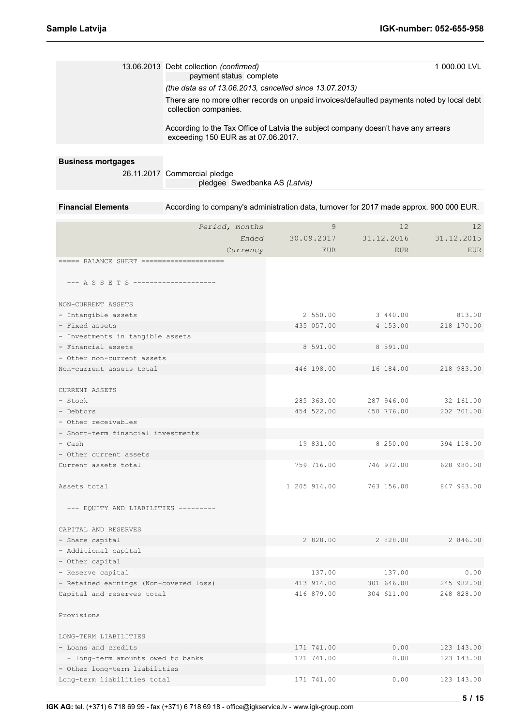|                                                          | 13.06.2013 Debt collection (confirmed)<br>payment status complete<br>(the data as of 13.06.2013, cancelled since 13.07.2013) |  |                          |  |              | 1 000.00 LVL |                          |
|----------------------------------------------------------|------------------------------------------------------------------------------------------------------------------------------|--|--------------------------|--|--------------|--------------|--------------------------|
|                                                          | There are no more other records on unpaid invoices/defaulted payments noted by local debt<br>collection companies.           |  |                          |  |              |              |                          |
|                                                          | According to the Tax Office of Latvia the subject company doesn't have any arrears<br>exceeding 150 EUR as at 07.06.2017.    |  |                          |  |              |              |                          |
|                                                          |                                                                                                                              |  |                          |  |              |              |                          |
| <b>Business mortgages</b>                                |                                                                                                                              |  |                          |  |              |              |                          |
|                                                          | 26.11.2017 Commercial pledge                                                                                                 |  |                          |  |              |              |                          |
|                                                          | pledgee Swedbanka AS (Latvia)                                                                                                |  |                          |  |              |              |                          |
| <b>Financial Elements</b>                                | According to company's administration data, turnover for 2017 made approx. 900 000 EUR.                                      |  |                          |  |              |              |                          |
|                                                          |                                                                                                                              |  |                          |  |              |              |                          |
|                                                          | Period, months                                                                                                               |  | 9                        |  | 12           |              | 12                       |
|                                                          | Ended                                                                                                                        |  | 30.09.2017               |  | 31.12.2016   |              | 31.12.2015               |
|                                                          | Currency                                                                                                                     |  | <b>EUR</b>               |  | <b>EUR</b>   |              | <b>EUR</b>               |
|                                                          |                                                                                                                              |  |                          |  |              |              |                          |
| --- A S S E T S ---------------------                    |                                                                                                                              |  |                          |  |              |              |                          |
|                                                          |                                                                                                                              |  |                          |  |              |              |                          |
| NON-CURRENT ASSETS                                       |                                                                                                                              |  |                          |  |              |              |                          |
| - Intangible assets                                      |                                                                                                                              |  | 2 550.00                 |  | 3 440.00     |              | 813.00                   |
| - Fixed assets                                           |                                                                                                                              |  | 435 057.00               |  | 4 153.00     |              | 218 170.00               |
| - Investments in tangible assets                         |                                                                                                                              |  |                          |  |              |              |                          |
| - Financial assets                                       |                                                                                                                              |  | 8 591.00                 |  | 8 591.00     |              |                          |
| - Other non-current assets                               |                                                                                                                              |  |                          |  |              |              |                          |
| Non-current assets total                                 |                                                                                                                              |  | 446 198.00               |  | 16 184.00    |              | 218 983.00               |
|                                                          |                                                                                                                              |  |                          |  |              |              |                          |
| <b>CURRENT ASSETS</b>                                    |                                                                                                                              |  |                          |  |              |              |                          |
| - Stock<br>- Debtors                                     |                                                                                                                              |  | 285 363.00               |  | 287 946.00   |              | 32 161.00<br>202 701.00  |
| - Other receivables                                      |                                                                                                                              |  | 454 522.00               |  | 450 776.00   |              |                          |
| - Short-term financial investments                       |                                                                                                                              |  |                          |  |              |              |                          |
| Cash                                                     |                                                                                                                              |  | 19 831.00                |  | 8 250.00     |              | 394 118.00               |
| - Other current assets                                   |                                                                                                                              |  |                          |  |              |              |                          |
| Current assets total                                     |                                                                                                                              |  | 759 716.00               |  | 746 972.00   |              | 628 980.00               |
|                                                          |                                                                                                                              |  |                          |  |              |              |                          |
| Assets total                                             |                                                                                                                              |  | 1 205 914.00             |  | 763 156.00   |              | 847 963.00               |
|                                                          |                                                                                                                              |  |                          |  |              |              |                          |
| --- EQUITY AND LIABILITIES ---------                     |                                                                                                                              |  |                          |  |              |              |                          |
| CAPITAL AND RESERVES                                     |                                                                                                                              |  |                          |  |              |              |                          |
| - Share capital                                          |                                                                                                                              |  | 2 828.00                 |  | 2 828.00     |              | 2 846.00                 |
| - Additional capital                                     |                                                                                                                              |  |                          |  |              |              |                          |
| - Other capital                                          |                                                                                                                              |  |                          |  |              |              |                          |
| - Reserve capital                                        |                                                                                                                              |  | 137.00                   |  | 137.00       |              | 0.00                     |
| - Retained earnings (Non-covered loss)                   |                                                                                                                              |  | 413 914.00               |  | 301 646.00   |              | 245 982.00               |
| Capital and reserves total                               |                                                                                                                              |  | 416 879.00               |  | 304 611.00   |              | 248 828.00               |
|                                                          |                                                                                                                              |  |                          |  |              |              |                          |
| Provisions                                               |                                                                                                                              |  |                          |  |              |              |                          |
|                                                          |                                                                                                                              |  |                          |  |              |              |                          |
| LONG-TERM LIABILITIES                                    |                                                                                                                              |  |                          |  |              |              |                          |
| - Loans and credits<br>- long-term amounts owed to banks |                                                                                                                              |  | 171 741.00<br>171 741.00 |  | 0.00<br>0.00 |              | 123 143.00<br>123 143.00 |
| - Other long-term liabilities                            |                                                                                                                              |  |                          |  |              |              |                          |
|                                                          |                                                                                                                              |  |                          |  |              |              |                          |

Long-term liabilities total 171 741.00 0.00 123 143.00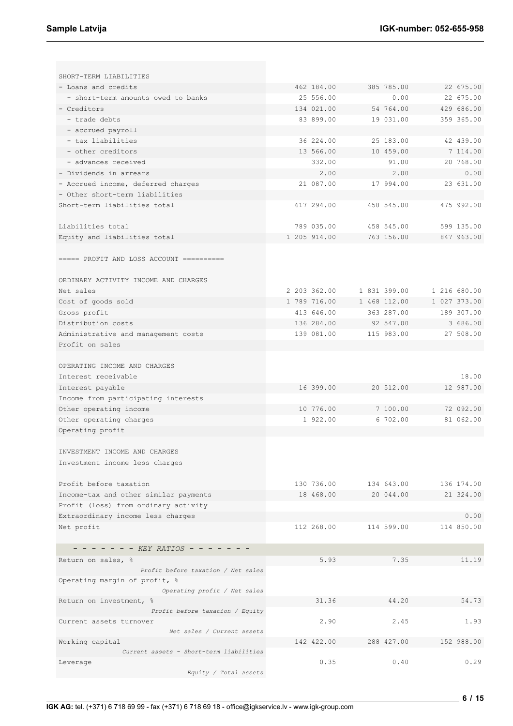| SHORT-TERM LIABILITIES                                                        |              |                      |                        |
|-------------------------------------------------------------------------------|--------------|----------------------|------------------------|
| - Loans and credits                                                           | 462 184.00   | 385 785.00           | 22 675.00              |
| - short-term amounts owed to banks                                            | 25 556.00    | 0.00                 | 22 675.00              |
| - Creditors                                                                   | 134 021.00   | 54 764.00            | 429 686.00             |
| - trade debts                                                                 | 83 899.00    | 19 031.00            | 359 365.00             |
| - accrued payroll                                                             |              |                      |                        |
| - tax liabilities                                                             | 36 224.00    | 25 183.00            | 42 439.00              |
| - other creditors                                                             | 13 566.00    | 10 459.00            | 7 114.00               |
| - advances received                                                           | 332.00       | 91.00                | 20 768.00              |
| - Dividends in arrears                                                        | 2.00         | 2.00                 | 0.00                   |
| - Accrued income, deferred charges                                            | 21 087.00    | 17 994.00            | 23 631.00              |
| - Other short-term liabilities                                                |              |                      |                        |
| Short-term liabilities total                                                  | 617 294.00   | 458 545.00           | 475 992.00             |
| Liabilities total                                                             | 789 035.00   | 458 545.00           | 599 135.00             |
| Equity and liabilities total                                                  | 1 205 914.00 | 763 156.00           | 847 963.00             |
| $====$ PROFIT AND LOSS ACCOUNT ==========                                     |              |                      |                        |
| ORDINARY ACTIVITY INCOME AND CHARGES                                          |              |                      |                        |
| Net sales                                                                     | 2 203 362.00 | 1 831 399.00         | 1 216 680.00           |
| Cost of goods sold                                                            | 1 789 716.00 | 1 468 112.00         | 1 027 373.00           |
| Gross profit                                                                  | 413 646.00   | 363 287.00           | 189 307.00             |
| Distribution costs                                                            | 136 284.00   | 92 547.00            | 3 686.00               |
| Administrative and management costs                                           | 139 081.00   | 115 983.00           | 27 508.00              |
| Profit on sales                                                               |              |                      |                        |
| OPERATING INCOME AND CHARGES                                                  |              |                      | 18.00                  |
| Interest receivable                                                           | 16 399.00    |                      | 12 987.00              |
| Interest payable                                                              |              | 20 512.00            |                        |
| Income from participating interests                                           | 10 776.00    |                      |                        |
| Other operating income                                                        |              | 7 100.00<br>6 702.00 | 72 092.00<br>81 062.00 |
| Other operating charges                                                       | 1 922.00     |                      |                        |
| Operating profit                                                              |              |                      |                        |
| INVESTMENT INCOME AND CHARGES<br>Investment income less charges               |              |                      |                        |
| Profit before taxation                                                        | 130 736.00   | 134 643.00           | 136 174.00             |
|                                                                               | 18 468.00    | 20 044.00            | 21 324.00              |
| Income-tax and other similar payments<br>Profit (loss) from ordinary activity |              |                      |                        |
| Extraordinary income less charges                                             |              |                      | 0.00                   |
| Net profit                                                                    | 112 268.00   | 114 599.00           | 114 850.00             |
|                                                                               |              |                      |                        |
| - - - - - - - KEY RATIOS - - -                                                |              |                      |                        |
|                                                                               |              |                      |                        |
| Return on sales, %<br>Profit before taxation / Net sales                      | 5.93         | 7.35                 | 11.19                  |
| Operating margin of profit, %<br>Operating profit / Net sales                 |              |                      |                        |
| Return on investment, %                                                       | 31.36        | 44.20                | 54.73                  |
| Profit before taxation / Equity                                               |              |                      |                        |
| Current assets turnover                                                       | 2.90         | 2.45                 | 1.93                   |
| Net sales / Current assets                                                    |              |                      |                        |
| Working capital                                                               | 142 422.00   | 288 427.00           | 152 988.00             |
| Current assets - Short-term liabilities                                       |              |                      |                        |
| Leverage<br>Equity / Total assets                                             | 0.35         | 0.40                 | 0.29                   |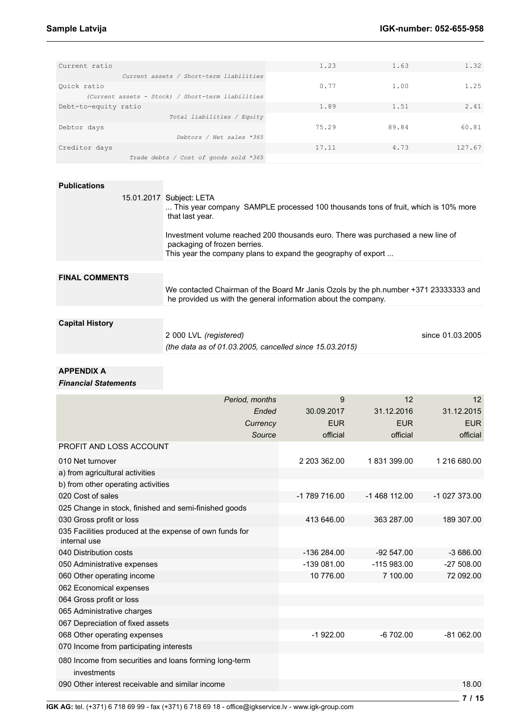| Current ratio                                     | 1.23  | 1.63  | 1.32   |
|---------------------------------------------------|-------|-------|--------|
| Current assets / Short-term liabilities           |       |       |        |
| Quick ratio                                       | 0.77  | 1.00  | 1.25   |
| (Current assets - Stock) / Short-term liabilities |       |       |        |
| Debt-to-equity ratio                              | 1.89  | 1.51  | 2.41   |
| Total liabilities / Equity                        |       |       |        |
| Debtor days                                       | 75.29 | 89.84 | 60.81  |
| Debtors / Net sales *365                          |       |       |        |
| Creditor days                                     | 17.11 | 4.73  | 127.67 |
| Trade debts / Cost of goods sold *365             |       |       |        |

## **Publications**

|                        | 15.01.2017 Subject: LETA<br>This year company SAMPLE processed 100 thousands tons of fruit, which is 10% more<br>that last year.                                                 |                  |
|------------------------|----------------------------------------------------------------------------------------------------------------------------------------------------------------------------------|------------------|
|                        | Investment volume reached 200 thousands euro. There was purchased a new line of<br>packaging of frozen berries.<br>This year the company plans to expand the geography of export |                  |
|                        |                                                                                                                                                                                  |                  |
| <b>FINAL COMMENTS</b>  |                                                                                                                                                                                  |                  |
|                        | We contacted Chairman of the Board Mr Janis Ozols by the ph.number +371 23333333 and<br>he provided us with the general information about the company.                           |                  |
|                        |                                                                                                                                                                                  |                  |
| <b>Capital History</b> |                                                                                                                                                                                  |                  |
|                        | 2 000 LVL (registered)                                                                                                                                                           | since 01.03.2005 |
|                        | (the data as of 01.03.2005, cancelled since 15.03.2015)                                                                                                                          |                  |

## **APPENDIX A**

*Financial Statements*

| Period, months                                                          | 9             | 12            | 12           |
|-------------------------------------------------------------------------|---------------|---------------|--------------|
| Ended                                                                   | 30.09.2017    | 31.12.2016    | 31.12.2015   |
| Currency                                                                | <b>EUR</b>    | <b>EUR</b>    | <b>EUR</b>   |
| Source                                                                  | official      | official      | official     |
| <b>PROFIT AND LOSS ACCOUNT</b>                                          |               |               |              |
| 010 Net turnover                                                        | 2 203 362.00  | 1831399.00    | 1 216 680.00 |
| a) from agricultural activities                                         |               |               |              |
| b) from other operating activities                                      |               |               |              |
| 020 Cost of sales                                                       | -1 789 716.00 | $-1468112.00$ | $-102733.00$ |
| 025 Change in stock, finished and semi-finished goods                   |               |               |              |
| 030 Gross profit or loss                                                | 413 646.00    | 363 287.00    | 189 307.00   |
| 035 Facilities produced at the expense of own funds for<br>internal use |               |               |              |
| 040 Distribution costs                                                  | $-136284.00$  | $-92547.00$   | $-3686.00$   |
| 050 Administrative expenses                                             | -139 081.00   | $-115983.00$  | $-27508.00$  |
| 060 Other operating income                                              | 10 776.00     | 7 100.00      | 72 092.00    |
| 062 Economical expenses                                                 |               |               |              |
| 064 Gross profit or loss                                                |               |               |              |
| 065 Administrative charges                                              |               |               |              |
| 067 Depreciation of fixed assets                                        |               |               |              |
| 068 Other operating expenses                                            | $-1922.00$    | $-6702.00$    | $-81062.00$  |
| 070 Income from participating interests                                 |               |               |              |
| 080 Income from securities and loans forming long-term<br>investments   |               |               |              |
| 090 Other interest receivable and similar income                        |               |               | 18.00        |

**IGK AG:** tel. (+371) 6 718 69 99 - fax (+371) 6 718 69 18 - office@igkservice.lv - www.igk-group.com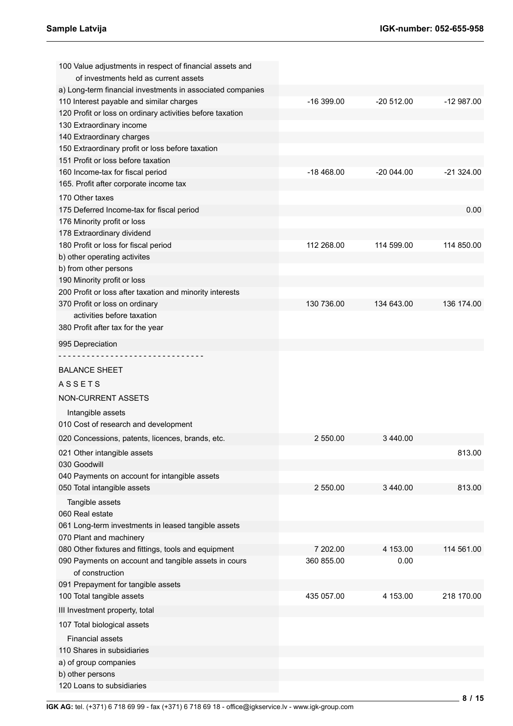| 100 Value adjustments in respect of financial assets and<br>of investments held as current assets |             |              |             |
|---------------------------------------------------------------------------------------------------|-------------|--------------|-------------|
| a) Long-term financial investments in associated companies                                        |             |              |             |
| 110 Interest payable and similar charges                                                          | $-16399.00$ | $-20512.00$  | $-12987.00$ |
| 120 Profit or loss on ordinary activities before taxation                                         |             |              |             |
| 130 Extraordinary income                                                                          |             |              |             |
| 140 Extraordinary charges                                                                         |             |              |             |
| 150 Extraordinary profit or loss before taxation                                                  |             |              |             |
| 151 Profit or loss before taxation                                                                |             |              |             |
| 160 Income-tax for fiscal period                                                                  | $-18468.00$ | $-200044.00$ | $-21324.00$ |
| 165. Profit after corporate income tax                                                            |             |              |             |
| 170 Other taxes                                                                                   |             |              |             |
| 175 Deferred Income-tax for fiscal period                                                         |             |              | 0.00        |
| 176 Minority profit or loss                                                                       |             |              |             |
| 178 Extraordinary dividend                                                                        |             |              |             |
| 180 Profit or loss for fiscal period                                                              | 112 268.00  | 114 599.00   | 114 850.00  |
| b) other operating activites                                                                      |             |              |             |
| b) from other persons                                                                             |             |              |             |
| 190 Minority profit or loss                                                                       |             |              |             |
| 200 Profit or loss after taxation and minority interests                                          |             |              |             |
| 370 Profit or loss on ordinary                                                                    | 130 736.00  | 134 643.00   | 136 174.00  |
| activities before taxation                                                                        |             |              |             |
| 380 Profit after tax for the year                                                                 |             |              |             |
| 995 Depreciation                                                                                  |             |              |             |
|                                                                                                   |             |              |             |
|                                                                                                   |             |              |             |
| <b>BALANCE SHEET</b>                                                                              |             |              |             |
| <b>ASSETS</b>                                                                                     |             |              |             |
| NON-CURRENT ASSETS                                                                                |             |              |             |
| Intangible assets                                                                                 |             |              |             |
| 010 Cost of research and development                                                              |             |              |             |
| 020 Concessions, patents, licences, brands, etc.                                                  | 2 550.00    | 3 440.00     |             |
| 021 Other intangible assets                                                                       |             |              | 813.00      |
| 030 Goodwill                                                                                      |             |              |             |
| 040 Payments on account for intangible assets                                                     |             |              |             |
| 050 Total intangible assets                                                                       | 2 550.00    | 3 440.00     | 813.00      |
|                                                                                                   |             |              |             |
| Tangible assets                                                                                   |             |              |             |
| 060 Real estate                                                                                   |             |              |             |
| 061 Long-term investments in leased tangible assets                                               |             |              |             |
| 070 Plant and machinery                                                                           |             |              |             |
| 080 Other fixtures and fittings, tools and equipment                                              | 7 202.00    | 4 153.00     | 114 561.00  |
| 090 Payments on account and tangible assets in cours                                              | 360 855.00  | 0.00         |             |
| of construction                                                                                   |             |              |             |
| 091 Prepayment for tangible assets                                                                |             |              |             |
| 100 Total tangible assets                                                                         | 435 057.00  | 4 153.00     | 218 170.00  |
| III Investment property, total                                                                    |             |              |             |
| 107 Total biological assets                                                                       |             |              |             |
| <b>Financial assets</b>                                                                           |             |              |             |
| 110 Shares in subsidiaries                                                                        |             |              |             |
| a) of group companies                                                                             |             |              |             |
| b) other persons                                                                                  |             |              |             |
| 120 Loans to subsidiaries                                                                         |             |              |             |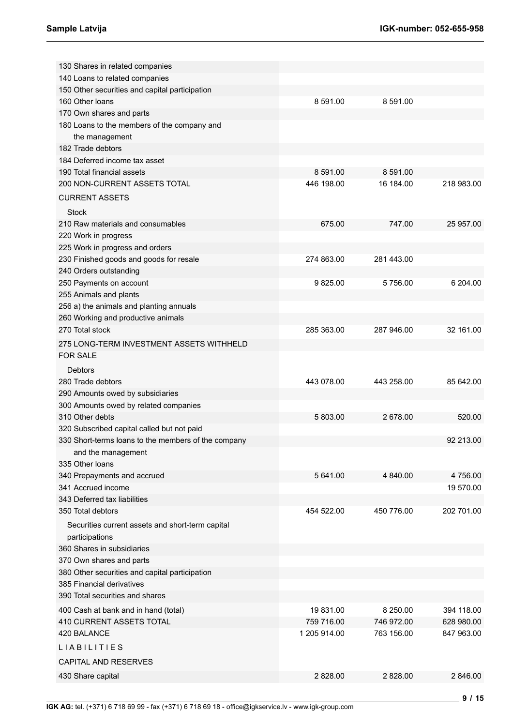| 130 Shares in related companies                     |              |            |            |
|-----------------------------------------------------|--------------|------------|------------|
| 140 Loans to related companies                      |              |            |            |
| 150 Other securities and capital participation      |              |            |            |
| 160 Other Ioans                                     | 8 591.00     | 8 591.00   |            |
| 170 Own shares and parts                            |              |            |            |
| 180 Loans to the members of the company and         |              |            |            |
| the management                                      |              |            |            |
| 182 Trade debtors                                   |              |            |            |
| 184 Deferred income tax asset                       |              |            |            |
| 190 Total financial assets                          | 8 591.00     | 8 591.00   |            |
| 200 NON-CURRENT ASSETS TOTAL                        | 446 198.00   | 16 184.00  | 218 983.00 |
| <b>CURRENT ASSETS</b>                               |              |            |            |
| <b>Stock</b>                                        |              |            |            |
| 210 Raw materials and consumables                   | 675.00       | 747.00     | 25 957.00  |
| 220 Work in progress                                |              |            |            |
| 225 Work in progress and orders                     |              |            |            |
| 230 Finished goods and goods for resale             | 274 863.00   | 281 443.00 |            |
| 240 Orders outstanding                              |              |            |            |
| 250 Payments on account                             | 9825.00      | 5756.00    | 6 204.00   |
| 255 Animals and plants                              |              |            |            |
| 256 a) the animals and planting annuals             |              |            |            |
| 260 Working and productive animals                  |              |            |            |
| 270 Total stock                                     | 285 363.00   | 287 946.00 | 32 161.00  |
|                                                     |              |            |            |
| 275 LONG-TERM INVESTMENT ASSETS WITHHELD            |              |            |            |
| <b>FOR SALE</b>                                     |              |            |            |
| Debtors                                             |              |            |            |
| 280 Trade debtors                                   | 443 078.00   | 443 258.00 | 85 642.00  |
| 290 Amounts owed by subsidiaries                    |              |            |            |
| 300 Amounts owed by related companies               |              |            |            |
| 310 Other debts                                     | 5 803.00     | 2 678.00   | 520.00     |
| 320 Subscribed capital called but not paid          |              |            |            |
| 330 Short-terms loans to the members of the company |              |            | 92 213.00  |
| and the management                                  |              |            |            |
| 335 Other Ioans                                     |              |            |            |
| 340 Prepayments and accrued                         | 5 641.00     | 4 840.00   | 4756.00    |
| 341 Accrued income                                  |              |            | 19 570.00  |
| 343 Deferred tax liabilities                        |              |            |            |
| 350 Total debtors                                   | 454 522.00   | 450 776.00 | 202 701.00 |
| Securities current assets and short-term capital    |              |            |            |
| participations                                      |              |            |            |
| 360 Shares in subsidiaries                          |              |            |            |
| 370 Own shares and parts                            |              |            |            |
| 380 Other securities and capital participation      |              |            |            |
| 385 Financial derivatives                           |              |            |            |
| 390 Total securities and shares                     |              |            |            |
| 400 Cash at bank and in hand (total)                | 19831.00     | 8 250.00   | 394 118.00 |
| 410 CURRENT ASSETS TOTAL                            | 759 716.00   | 746 972.00 | 628 980.00 |
| 420 BALANCE                                         | 1 205 914.00 | 763 156.00 | 847 963.00 |
| <b>LIABILITIES</b>                                  |              |            |            |
| <b>CAPITAL AND RESERVES</b>                         |              |            |            |
|                                                     |              |            |            |
| 430 Share capital                                   | 2 828.00     | 2 828.00   | 2 846.00   |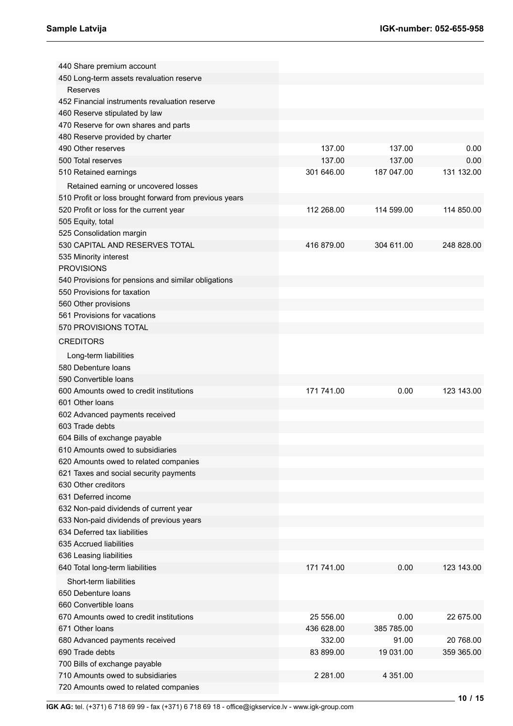| 440 Share premium account                              |             |            |            |
|--------------------------------------------------------|-------------|------------|------------|
| 450 Long-term assets revaluation reserve               |             |            |            |
| Reserves                                               |             |            |            |
| 452 Financial instruments revaluation reserve          |             |            |            |
| 460 Reserve stipulated by law                          |             |            |            |
| 470 Reserve for own shares and parts                   |             |            |            |
| 480 Reserve provided by charter                        |             |            |            |
| 490 Other reserves                                     | 137.00      | 137.00     | 0.00       |
| 500 Total reserves                                     | 137.00      | 137.00     | 0.00       |
| 510 Retained earnings                                  | 301 646.00  | 187 047.00 | 131 132.00 |
| Retained earning or uncovered losses                   |             |            |            |
| 510 Profit or loss brought forward from previous years |             |            |            |
| 520 Profit or loss for the current year                | 112 268.00  | 114 599.00 | 114 850.00 |
| 505 Equity, total                                      |             |            |            |
| 525 Consolidation margin                               |             |            |            |
| 530 CAPITAL AND RESERVES TOTAL                         | 416 879.00  | 304 611.00 | 248 828.00 |
| 535 Minority interest                                  |             |            |            |
| <b>PROVISIONS</b>                                      |             |            |            |
| 540 Provisions for pensions and similar obligations    |             |            |            |
| 550 Provisions for taxation                            |             |            |            |
| 560 Other provisions                                   |             |            |            |
| 561 Provisions for vacations                           |             |            |            |
| 570 PROVISIONS TOTAL                                   |             |            |            |
|                                                        |             |            |            |
| <b>CREDITORS</b>                                       |             |            |            |
| Long-term liabilities                                  |             |            |            |
| 580 Debenture loans                                    |             |            |            |
| 590 Convertible loans                                  |             |            |            |
| 600 Amounts owed to credit institutions                | 171 741.00  | 0.00       | 123 143.00 |
| 601 Other Ioans                                        |             |            |            |
| 602 Advanced payments received                         |             |            |            |
| 603 Trade debts                                        |             |            |            |
| 604 Bills of exchange payable                          |             |            |            |
| 610 Amounts owed to subsidiaries                       |             |            |            |
| 620 Amounts owed to related companies                  |             |            |            |
| 621 Taxes and social security payments                 |             |            |            |
| 630 Other creditors                                    |             |            |            |
| 631 Deferred income                                    |             |            |            |
| 632 Non-paid dividends of current year                 |             |            |            |
| 633 Non-paid dividends of previous years               |             |            |            |
| 634 Deferred tax liabilities                           |             |            |            |
| 635 Accrued liabilities                                |             |            |            |
| 636 Leasing liabilities                                |             |            |            |
| 640 Total long-term liabilities                        | 171 741.00  | 0.00       | 123 143.00 |
| Short-term liabilities                                 |             |            |            |
| 650 Debenture loans                                    |             |            |            |
| 660 Convertible Ioans                                  |             |            |            |
|                                                        |             |            |            |
| 670 Amounts owed to credit institutions                | 25 556.00   | 0.00       | 22 675.00  |
| 671 Other Ioans                                        | 436 628.00  | 385 785.00 |            |
| 680 Advanced payments received                         | 332.00      | 91.00      | 20 768.00  |
| 690 Trade debts                                        | 83 899.00   | 19 031.00  | 359 365.00 |
| 700 Bills of exchange payable                          |             |            |            |
| 710 Amounts owed to subsidiaries                       | 2 2 8 1 .00 | 4 351.00   |            |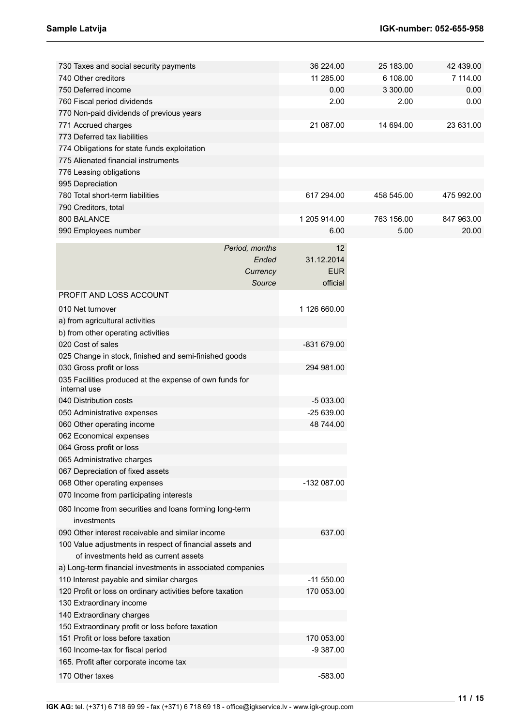| 730 Taxes and social security payments                                  |                | 36 224.00    | 25 183.00  | 42 439.00  |
|-------------------------------------------------------------------------|----------------|--------------|------------|------------|
| 740 Other creditors                                                     |                | 11 285.00    | 6 108.00   | 7 114.00   |
| 750 Deferred income                                                     |                | 0.00         | 3 300.00   | 0.00       |
| 760 Fiscal period dividends                                             |                | 2.00         | 2.00       | 0.00       |
| 770 Non-paid dividends of previous years                                |                |              |            |            |
| 771 Accrued charges                                                     |                | 21 087.00    | 14 694.00  | 23 631.00  |
| 773 Deferred tax liabilities                                            |                |              |            |            |
| 774 Obligations for state funds exploitation                            |                |              |            |            |
| 775 Alienated financial instruments                                     |                |              |            |            |
| 776 Leasing obligations                                                 |                |              |            |            |
| 995 Depreciation                                                        |                |              |            |            |
| 780 Total short-term liabilities                                        |                | 617 294.00   | 458 545.00 | 475 992.00 |
| 790 Creditors, total                                                    |                |              |            |            |
| 800 BALANCE                                                             |                | 1 205 914.00 | 763 156.00 | 847 963.00 |
| 990 Employees number                                                    |                | 6.00         | 5.00       | 20.00      |
|                                                                         |                |              |            |            |
|                                                                         | Period, months | 12           |            |            |
|                                                                         | Ended          | 31.12.2014   |            |            |
|                                                                         | Currency       | <b>EUR</b>   |            |            |
|                                                                         | Source         | official     |            |            |
| PROFIT AND LOSS ACCOUNT                                                 |                |              |            |            |
| 010 Net turnover                                                        |                | 1 126 660.00 |            |            |
| a) from agricultural activities                                         |                |              |            |            |
| b) from other operating activities                                      |                |              |            |            |
| 020 Cost of sales                                                       |                | -831 679.00  |            |            |
| 025 Change in stock, finished and semi-finished goods                   |                |              |            |            |
| 030 Gross profit or loss                                                |                | 294 981.00   |            |            |
| 035 Facilities produced at the expense of own funds for<br>internal use |                |              |            |            |
| 040 Distribution costs                                                  |                | $-5033.00$   |            |            |
| 050 Administrative expenses                                             |                | $-25639.00$  |            |            |
| 060 Other operating income                                              |                | 48 744.00    |            |            |
| 062 Economical expenses                                                 |                |              |            |            |
| 064 Gross profit or loss                                                |                |              |            |            |
| 065 Administrative charges                                              |                |              |            |            |
| 067 Depreciation of fixed assets                                        |                |              |            |            |
| 068 Other operating expenses                                            |                | -132 087.00  |            |            |
| 070 Income from participating interests                                 |                |              |            |            |
| 080 Income from securities and loans forming long-term<br>investments   |                |              |            |            |
| 090 Other interest receivable and similar income                        |                | 637.00       |            |            |
| 100 Value adjustments in respect of financial assets and                |                |              |            |            |
| of investments held as current assets                                   |                |              |            |            |
| a) Long-term financial investments in associated companies              |                |              |            |            |
| 110 Interest payable and similar charges                                |                | $-11550.00$  |            |            |
| 120 Profit or loss on ordinary activities before taxation               |                | 170 053.00   |            |            |
| 130 Extraordinary income                                                |                |              |            |            |
| 140 Extraordinary charges                                               |                |              |            |            |
| 150 Extraordinary profit or loss before taxation                        |                |              |            |            |
| 151 Profit or loss before taxation                                      |                | 170 053.00   |            |            |
| 160 Income-tax for fiscal period                                        |                | $-9387.00$   |            |            |
| 165. Profit after corporate income tax                                  |                |              |            |            |
| 170 Other taxes                                                         |                | $-583.00$    |            |            |
|                                                                         |                |              |            |            |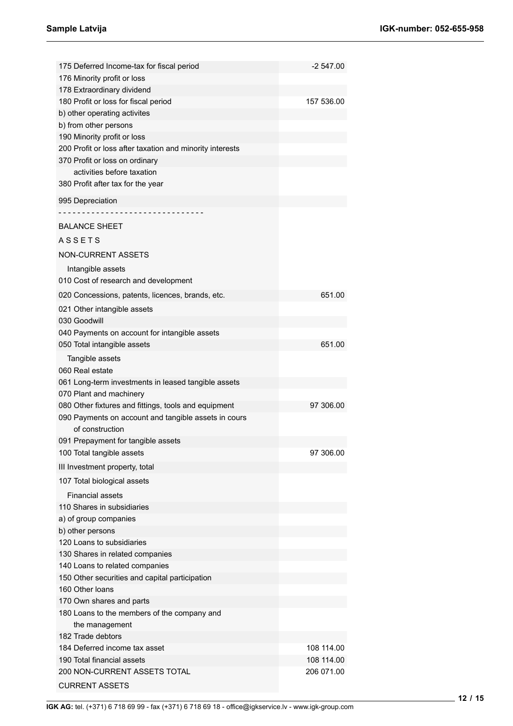| 175 Deferred Income-tax for fiscal period                         | -2 547.00  |
|-------------------------------------------------------------------|------------|
| 176 Minority profit or loss                                       |            |
| 178 Extraordinary dividend                                        |            |
| 180 Profit or loss for fiscal period                              | 157 536.00 |
| b) other operating activites                                      |            |
| b) from other persons                                             |            |
| 190 Minority profit or loss                                       |            |
| 200 Profit or loss after taxation and minority interests          |            |
| 370 Profit or loss on ordinary                                    |            |
| activities before taxation                                        |            |
| 380 Profit after tax for the year                                 |            |
| 995 Depreciation                                                  |            |
|                                                                   |            |
| <b>BALANCE SHEET</b>                                              |            |
| <b>ASSETS</b>                                                     |            |
| <b>NON-CURRENT ASSETS</b>                                         |            |
| Intangible assets                                                 |            |
| 010 Cost of research and development                              |            |
| 020 Concessions, patents, licences, brands, etc.                  | 651.00     |
| 021 Other intangible assets                                       |            |
| 030 Goodwill                                                      |            |
| 040 Payments on account for intangible assets                     |            |
| 050 Total intangible assets                                       | 651.00     |
| Tangible assets                                                   |            |
| 060 Real estate                                                   |            |
| 061 Long-term investments in leased tangible assets               |            |
| 070 Plant and machinery                                           |            |
| 080 Other fixtures and fittings, tools and equipment              | 97 306.00  |
| 090 Payments on account and tangible assets in cours              |            |
| of construction                                                   |            |
| 091 Prepayment for tangible assets                                |            |
| 100 Total tangible assets                                         | 97 306.00  |
| III Investment property, total                                    |            |
| 107 Total biological assets                                       |            |
| <b>Financial assets</b>                                           |            |
| 110 Shares in subsidiaries                                        |            |
| a) of group companies                                             |            |
| b) other persons                                                  |            |
| 120 Loans to subsidiaries                                         |            |
| 130 Shares in related companies                                   |            |
| 140 Loans to related companies                                    |            |
| 150 Other securities and capital participation<br>160 Other Ioans |            |
| 170 Own shares and parts                                          |            |
| 180 Loans to the members of the company and                       |            |
| the management                                                    |            |
| 182 Trade debtors                                                 |            |
| 184 Deferred income tax asset                                     | 108 114.00 |
| 190 Total financial assets                                        | 108 114.00 |
| 200 NON-CURRENT ASSETS TOTAL                                      | 206 071.00 |
| <b>CURRENT ASSETS</b>                                             |            |
|                                                                   |            |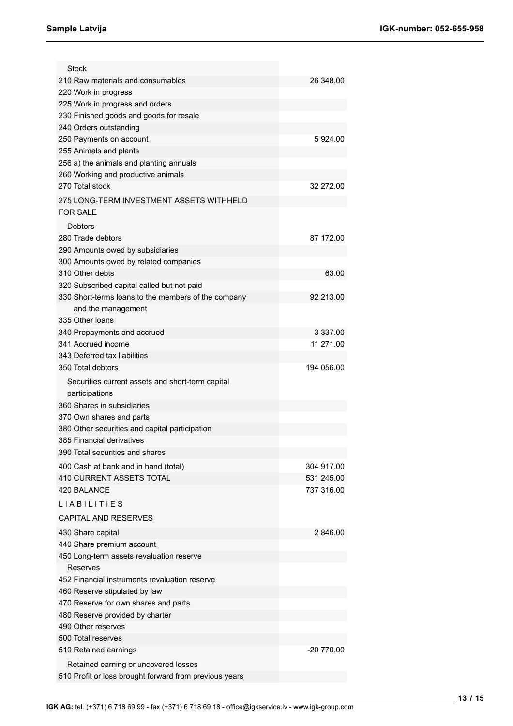| 210 Raw materials and consumables                   | 26 348.00  |
|-----------------------------------------------------|------------|
| 220 Work in progress                                |            |
| 225 Work in progress and orders                     |            |
| 230 Finished goods and goods for resale             |            |
| 240 Orders outstanding                              |            |
| 250 Payments on account                             | 5924.00    |
| 255 Animals and plants                              |            |
| 256 a) the animals and planting annuals             |            |
| 260 Working and productive animals                  |            |
| 270 Total stock                                     | 32 272.00  |
|                                                     |            |
| 275 LONG-TERM INVESTMENT ASSETS WITHHELD            |            |
| <b>FOR SALE</b>                                     |            |
| Debtors                                             |            |
| 280 Trade debtors                                   | 87 172.00  |
| 290 Amounts owed by subsidiaries                    |            |
| 300 Amounts owed by related companies               |            |
| 310 Other debts                                     | 63.00      |
| 320 Subscribed capital called but not paid          |            |
| 330 Short-terms loans to the members of the company | 92 213.00  |
| and the management                                  |            |
| 335 Other loans                                     |            |
| 340 Prepayments and accrued                         | 3 337.00   |
| 341 Accrued income                                  | 11 271.00  |
| 343 Deferred tax liabilities                        |            |
| 350 Total debtors                                   | 194 056.00 |
|                                                     |            |
| Securities current assets and short-term capital    |            |
| participations                                      |            |
| 360 Shares in subsidiaries                          |            |
| 370 Own shares and parts                            |            |
| 380 Other securities and capital participation      |            |
|                                                     |            |
| 385 Financial derivatives                           |            |
| 390 Total securities and shares                     |            |
| 400 Cash at bank and in hand (total)                | 304 917.00 |
| 410 CURRENT ASSETS TOTAL                            | 531 245.00 |
| 420 BALANCE                                         | 737 316.00 |
| <b>LIABILITIES</b>                                  |            |
|                                                     |            |
| <b>CAPITAL AND RESERVES</b>                         |            |
| 430 Share capital                                   | 2 846.00   |
| 440 Share premium account                           |            |
| 450 Long-term assets revaluation reserve            |            |
| Reserves                                            |            |
| 452 Financial instruments revaluation reserve       |            |
| 460 Reserve stipulated by law                       |            |
| 470 Reserve for own shares and parts                |            |
| 480 Reserve provided by charter                     |            |
| 490 Other reserves                                  |            |
| 500 Total reserves                                  |            |
| 510 Retained earnings                               | -20 770.00 |
| Retained earning or uncovered losses                |            |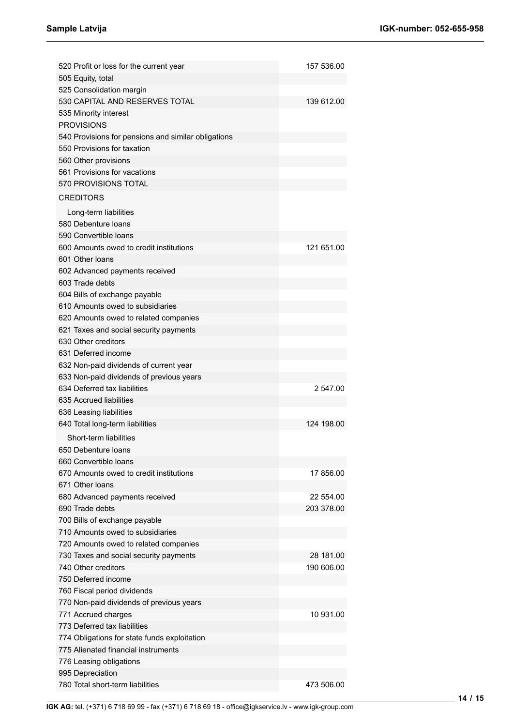| 520 Profit or loss for the current year             | 157 536.00 |
|-----------------------------------------------------|------------|
| 505 Equity, total                                   |            |
| 525 Consolidation margin                            |            |
| 530 CAPITAL AND RESERVES TOTAL                      | 139 612.00 |
| 535 Minority interest                               |            |
| <b>PROVISIONS</b>                                   |            |
| 540 Provisions for pensions and similar obligations |            |
| 550 Provisions for taxation                         |            |
| 560 Other provisions                                |            |
| 561 Provisions for vacations                        |            |
| 570 PROVISIONS TOTAL                                |            |
| <b>CREDITORS</b>                                    |            |
| Long-term liabilities                               |            |
| 580 Debenture loans                                 |            |
| 590 Convertible loans                               |            |
| 600 Amounts owed to credit institutions             | 121 651.00 |
| 601 Other Joans                                     |            |
| 602 Advanced payments received                      |            |
| 603 Trade debts                                     |            |
| 604 Bills of exchange payable                       |            |
| 610 Amounts owed to subsidiaries                    |            |
| 620 Amounts owed to related companies               |            |
| 621 Taxes and social security payments              |            |
| 630 Other creditors                                 |            |
| 631 Deferred income                                 |            |
| 632 Non-paid dividends of current year              |            |
| 633 Non-paid dividends of previous years            |            |
| 634 Deferred tax liabilities                        | 2 547.00   |
| 635 Accrued liabilities                             |            |
| 636 Leasing liabilities                             |            |
| 640 Total long-term liabilities                     | 124 198.00 |
| Short-term liabilities                              |            |
| 650 Debenture loans                                 |            |
| 660 Convertible Ioans                               |            |
| 670 Amounts owed to credit institutions             | 17 856.00  |
| 671 Other Ioans                                     |            |
| 680 Advanced payments received                      | 22 554.00  |
| 690 Trade debts                                     | 203 378.00 |
| 700 Bills of exchange payable                       |            |
| 710 Amounts owed to subsidiaries                    |            |
| 720 Amounts owed to related companies               |            |
| 730 Taxes and social security payments              | 28 181.00  |
| 740 Other creditors                                 | 190 606.00 |
| 750 Deferred income                                 |            |
| 760 Fiscal period dividends                         |            |
| 770 Non-paid dividends of previous years            |            |
| 771 Accrued charges                                 | 10 931.00  |
| 773 Deferred tax liabilities                        |            |
| 774 Obligations for state funds exploitation        |            |
| 775 Alienated financial instruments                 |            |
| 776 Leasing obligations                             |            |
| 995 Depreciation                                    |            |
| 780 Total short-term liabilities                    | 473 506.00 |
|                                                     |            |